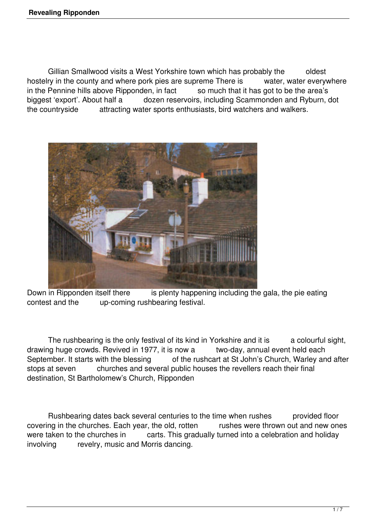Gillian Smallwood visits a West Yorkshire town which has probably the oldest hostelry in the county and where pork pies are supreme There is water, water everywhere in the Pennine hills above Ripponden, in fact so much that it has got to be the area's biggest 'export'. About half a dozen reservoirs, including Scammonden and Ryburn, dot the countryside attracting water sports enthusiasts, bird watchers and walkers.



Down in Ripponden itself there is plenty happening including the gala, the pie eating contest and the up-coming rushbearing festival.

The rushbearing is the only festival of its kind in Yorkshire and it is a colourful sight, drawing huge crowds. Revived in 1977, it is now a two-day, annual event held each September. It starts with the blessing of the rushcart at St John's Church, Warley and after stops at seven churches and several public houses the revellers reach their final destination, St Bartholomew's Church, Ripponden

Rushbearing dates back several centuries to the time when rushes provided floor covering in the churches. Each year, the old, rotten rushes were thrown out and new ones were taken to the churches in carts. This gradually turned into a celebration and holiday involving revelry, music and Morris dancing.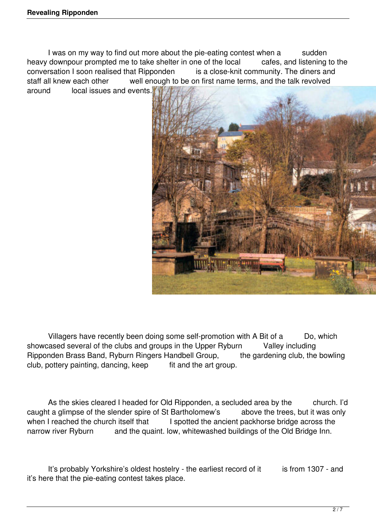I was on my way to find out more about the pie-eating contest when a sudden heavy downpour prompted me to take shelter in one of the local cafes, and listening to the conversation I soon realised that Ripponden is a close-knit community. The diners and staff all knew each other well enough to be on first name terms, and the talk revolved around local issues and events.



Villagers have recently been doing some self-promotion with A Bit of a Do, which showcased several of the clubs and groups in the Upper Ryburn Valley including Ripponden Brass Band, Ryburn Ringers Handbell Group, the gardening club, the bowling club, pottery painting, dancing, keep fit and the art group.

 As the skies cleared I headed for Old Ripponden, a secluded area by the church. I'd caught a glimpse of the slender spire of St Bartholomew's above the trees, but it was only when I reached the church itself that I spotted the ancient packhorse bridge across the narrow river Ryburn and the quaint. low, whitewashed buildings of the Old Bridge Inn.

It's probably Yorkshire's oldest hostelry - the earliest record of it is from 1307 - and it's here that the pie-eating contest takes place.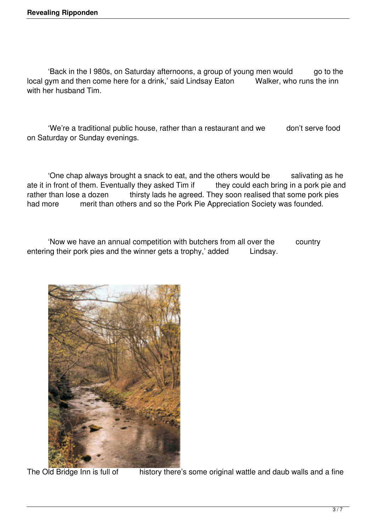'Back in the I 980s, on Saturday afternoons, a group of young men would go to the local gym and then come here for a drink,' said Lindsay Eaton Walker, who runs the inn with her husband Tim.

'We're a traditional public house, rather than a restaurant and we don't serve food on Saturday or Sunday evenings.

'One chap always brought a snack to eat, and the others would be salivating as he ate it in front of them. Eventually they asked Tim if they could each bring in a pork pie and rather than lose a dozen thirsty lads he agreed. They soon realised that some pork pies had more merit than others and so the Pork Pie Appreciation Society was founded.

 'Now we have an annual competition with butchers from all over the country entering their pork pies and the winner gets a trophy,' added Lindsay.



The Old Bridge Inn is full of history there's some original wattle and daub walls and a fine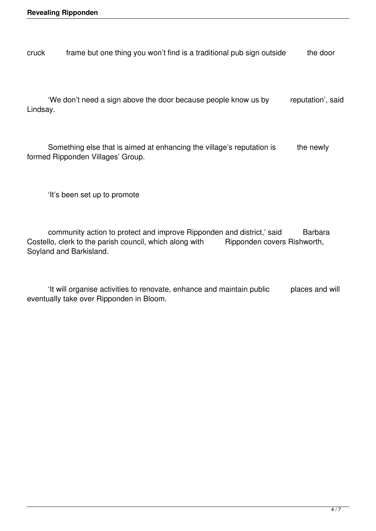cruck frame but one thing you won't find is a traditional pub sign outside the door

'We don't need a sign above the door because people know us by reputation', said Lindsay.

Something else that is aimed at enhancing the village's reputation is the newly formed Ripponden Villages' Group.

'It's been set up to promote

community action to protect and improve Ripponden and district,' said Barbara Costello, clerk to the parish council, which along with Ripponden covers Rishworth, Soyland and Barkisland.

 'It will organise activities to renovate, enhance and maintain public places and will eventually take over Ripponden in Bloom.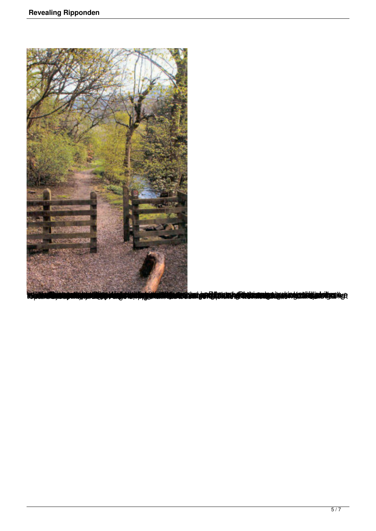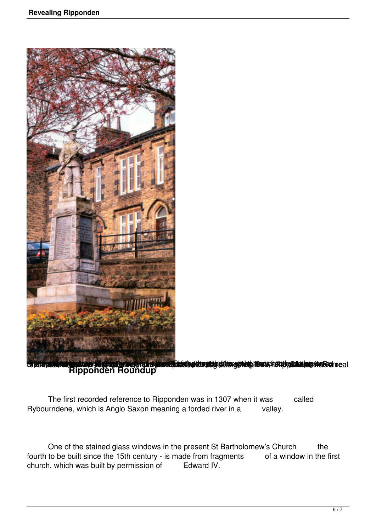

**int at a formulated and complete and the interpretational conductions of the contributions of the complete of <br>Ripponden Roundup** 

The first recorded reference to Ripponden was in 1307 when it was called Rybourndene, which is Anglo Saxon meaning a forded river in a valley.

One of the stained glass windows in the present St Bartholomew's Church the fourth to be built since the 15th century - is made from fragments of a window in the first church, which was built by permission of Edward IV.